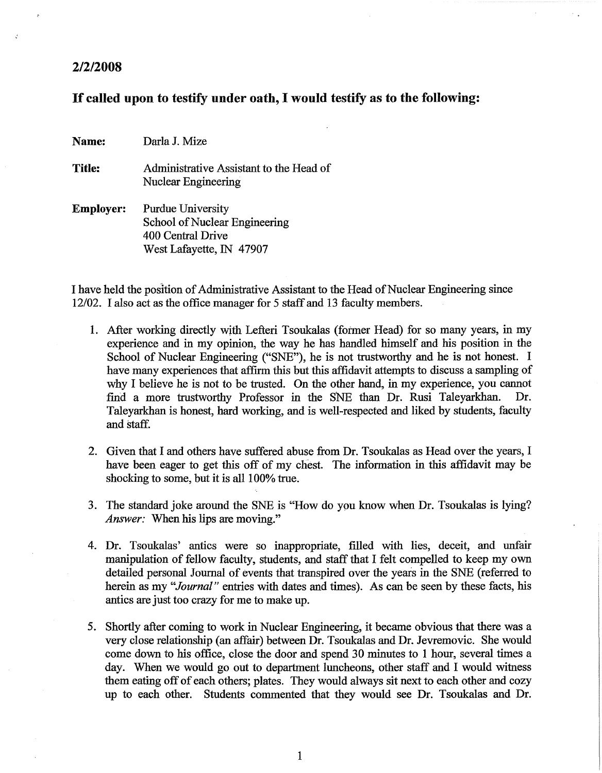## *2/2/2008*

## If called upon to testify under oath, I would testify as to the following:

Name: DarlaJ. Mize

Title: Administrative Assistant to the Head of Nuclear Engineering

Employer: Purdue University School of Nuclear Engineering 400 Central Drive West Lafayette, IN 47907

I have held the position of Administrative Assistant to the Head of Nuclear Engineering since 12/02. I also act as the office manager for 5 staff and 13 faculty members.

- 1. After working directly with Lefteri Tsoukalas (fotmer Head) for so many years, in my experience and in my opinion, the way he has handled himself and his position in the School of Nuclear Engineering ("SNE"), he is not trustworthy and he is not honest. I have many experiences that affirm this but this affidavit attempts to discuss a sampling of why I believe he is not to be trusted. On the other hand, in my experience, you cannot find a more trustworthy Professor in the SNE than Dr. Rusi Taleyarkhan. Dr. Taleyarkhan is honest, hard working, and is well-respected and liked by students, faculty and staff.
- 2. Given that I and others have suffered abuse from Dr. Tsoukalas as Head over the years, I have been eager to get this off of my chest. The information in this affidavit may be shocking to some, but it is all 100% true.
- 3. The standard joke around the SNE is "How do you know when Dr. Tsoukalas is lying? *Answer:* When his lips are moving."
- 4. Dr. Tsoukalas' antics were so inappropriate, filled with lies, deceit, and unfair manipulation of fellow faculty, students, and staff that I felt compelled to keep my own detailed personal Journal of events that transpired over the years in the SNE (referred to herein as my *"Journal"* entries with dates and times). As can be seen by these facts, his antics are just too crazy for me to make up.
- 5. Shortly after coming to work in Nuclear Engineering, it became obvious that there was a very close relationship (an affair) between Dr. Tsoukalas and Dr. Jevremovic. She would come down to his office, close the door and spend 30 minutes to 1 hour, several times a day. When we would go out to department luncheons, other staff and I would witness them eating off of each others; plates. They would always sit next to each other and cozy up to each other. Students commented that they would see Dr. Tsoukalas and Dr.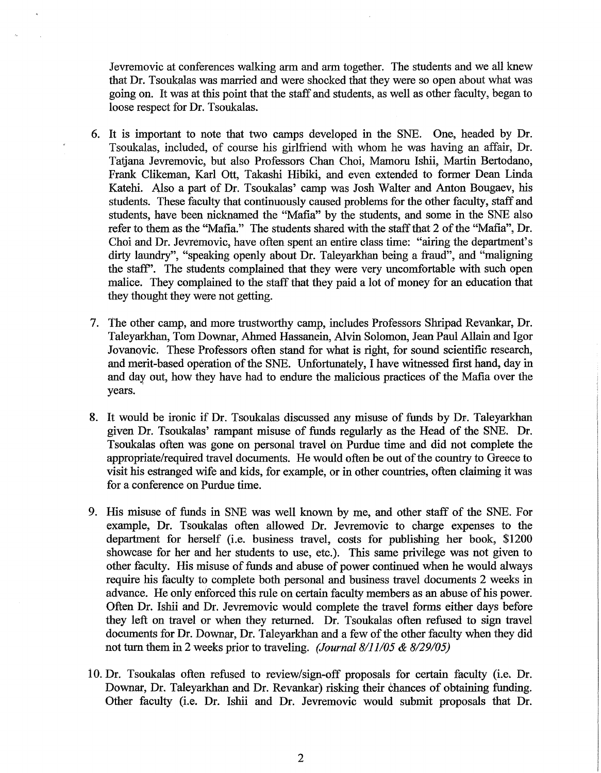Jevremovic at conferences walking arm and arm together. The students and we all knew that Dr. Tsoukalas was married and were shocked that they were so open about what was going on. It was at this point that the staff and students, as well as other faculty, began to loose respect for Dr. Tsoukalas.

- 6. It is important to note that two camps developed in the SNE. One, headed by Dr. Tsoukalas, included, of course his girlfriend with whom he was having an affair, Dr. Tatjana Jevremovic, but also Professors Chan Choi, Mamoru Ishii, Martin Bertodano, Frank Clikeman, Karl Ott, Takashi Hibiki, and even extended to former Dean Linda Katehi. *Also* a part of Dr. Tsoukalas' camp was Josh Walter and Anton Bougaev, his students. These faculty that continuously caused problems for the other faculty, staff and students, have been nicknamed the "Mafia" by the students, and some in the SNE also refer to them as the "Mafia." The students shared with the staff that 2 of the "Mafia", Dr. Choi and Dr. Jevremovic, have often spent an entire class time: "airing the department's dirty laundry", "speaking openly about Dr. Taleyarkhan being a fraud", and "maligning the staff'. The students complained that they were very uncomfortable with such open malice. They complained to the staff that they paid a lot of money for an education that they thought they were not getting.
- 7. The other camp, and more trustworthy camp, includes Professors Shripad Revankar, Dr. Taleyarkhan, Tom Downar, Ahmed Hassanein, Alvin Solomon, Jean Paul Allain and Igor Jovanovic. These Professors often stand for what is right, for sound scientific research, and merit-based operation of the SNE. Unfortunately, I have witnessed first hand, day in and day out, how they have had to endure the malicious practices of the Mafia over the years.
- 8. It would be ironic if Dr. Tsoukalas discussed any misuse of funds by Dr. Taleyarkhan given Dr. Tsoukalas' rampant misuse of funds regularly as the Head of the SNE. Dr. Tsoukalas often was gone on personal travel on Purdue time and did not complete the appropriate/required travel documents. He would often be out of the country to Greece to visit his estranged wife and kids, for example, or in other countries, often claiming it was for a conference on Purdue time.
- 9. His misuse of funds in SNE was well known by me, and other staff of the SNE. For example, Dr. Tsoukalas often allowed Dr. Jevremovic to charge expenses to the department for herself (i.e. business travel, costs for publishing her book, \$1200 showcase for her and her students to use, etc.). This same privilege was not given to other faculty. His misuse of funds and abuse of power continued when he would always require his faculty to complete both personal and business travel documents 2 weeks in advance. He only enforced this rule on certain faculty members as an abuse of his power. Often Dr. Ishii and Dr. Jevremovic would complete the travel forms either days before they left on travel or when they returned. Dr. Tsoukalas often refused to sign travel documents for Dr. Downar, Dr. Taleyarkhan and a few of the other faculty when they did not turn them in 2 weeks prior to traveling. *(Journal 8/11/05* & *8/29/05)*
- 10. Dr. Tsoukalas often refused to review/sign-off proposals for certain faculty (i.e. Dr. Downar, Dr. Taleyarkhan and Dr. Revankar) risking their chances of obtaining funding. Other faculty (i.e. Dr. Ishii and Dr. Jevremovic would submit proposals that Dr.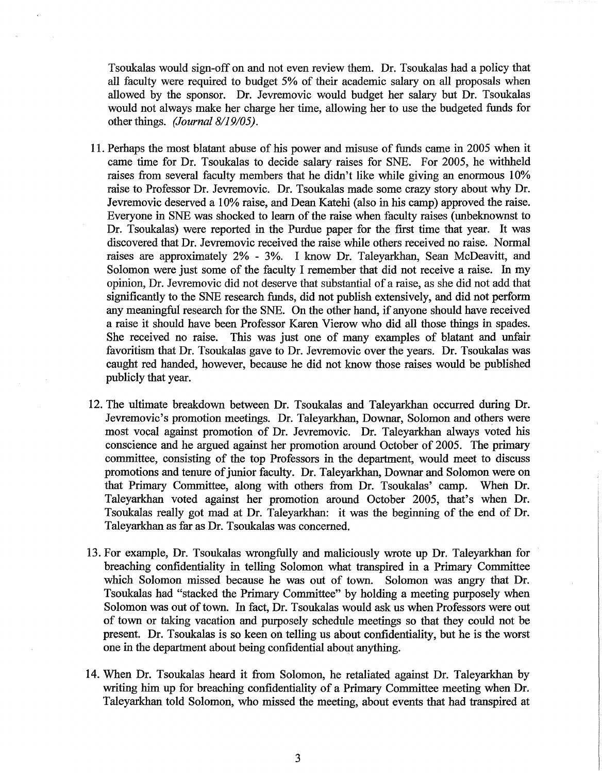Tsoukalas would sign-off on and not even review them. Dr. Tsoukalas had a policy that all faculty were required to budget 5% of their academic salary on all proposals when allowed by the sponsor. Dr. Jevremovic would budget her salary but Dr. Tsoukalas would not always make her charge her time, allowing her to use the budgeted funds for other things. *(Journal 8/19/05).*

- 11. Perhaps the most blatant abuse of his power and misuse of funds came in 2005 when it came time for Dr. Tsoukalas to decide salary raises for SNE. For 2005, he withheld raises from several faculty members that he didn't like while giving an enonnous 10% raise to Professor Dr. Jevremovic. Dr. Tsoukalas made some crazy story about why Dr. Jevremovic deserved a 10% raise, and Dean Katehi (also in his camp) approved the raise. Everyone in SNE was shocked to learn of the raise when faculty raises (unbeknownst to Dr. Tsoukalas) were reported in the Purdue paper for the first time that year. It was discovered that Dr. Jevremovic received the raise while others received no raise. Normal raises are approximately 2% - 3%. I know Dr. Taleyarkhan, Sean McDeavitt, and Solomon were just some of the faculty I remember that did not receive a raise. In my opinion, Dr. Jevremovic did not deserve that substantial of a raise, as she did not add that significantly to the SNE research funds, did not publish extensively, and did not perform any meaningful research for the SNE. On the other hand, if anyone should have received a raise it should have been Professor Karen Vierow who did all those things in spades. She received no raise. This was just one of many examples of blatant and unfair favoritism that Dr. Tsoukalas gave to Dr. Jevremovic over the years. Dr. Tsoukalas was caught red handed, however, because he did not know those raises would be published publicly that year.
- 12. The ultimate breakdown between Dr. Tsoukalas and Taleyarkhan occurred during Dr. Jevremovic's promotion meetings. Dr. Taleyarkhan, Downar, Solomon and others were most vocal against promotion of Dr. Jevremovic. Dr. Taleyarkhan always voted his conscience and he argued against her promotion around October of 2005. The primary committee, consisting of the top Professors in the department, would meet to discuss promotions and tenure of junior faculty. Dr. Taleyarkhan, Downar and Solomon were on that Primary Committee, along with others from Dr. Tsoukalas' camp. When Dr. Taleyarkhan voted against her promotion around October 2005, that's when Dr. Tsoukalas really got mad at Dr. Taleyarkhan: it was the beginning of the end of Dr. Taleyarkhan as far as Dr. Tsoukalas was concerned.
- 13. For example, Dr. Tsoukalas wrongfully and maliciously wrote up Dr. Taleyarkhan for breaching confidentiality in telling Solomon what transpired in a Primary Committee which Solomon missed because he was out of town. Solomon was angry that Dr. Tsoukalas had "stacked the Primary Committee" by holding a meeting purposely when Solomon was out of town. In fact, Dr. Tsoukalas would ask us when Professors were out of town or taking vacation and purposely schedule meetings so that they could not be present. Dr. Tsoukalas is so keen on telling us about confidentiality, but he is the worst one in the department about being confidential about anything.
- 14. When Dr. Tsoukalas heard it from Solomon, he retaliateq against Dr. Taleyarkhan by writing him up for breaching confidentiality of a Primary Committee meeting when Dr. Taleyarkhan told Solomon, who missed the meeting, about events that had transpired at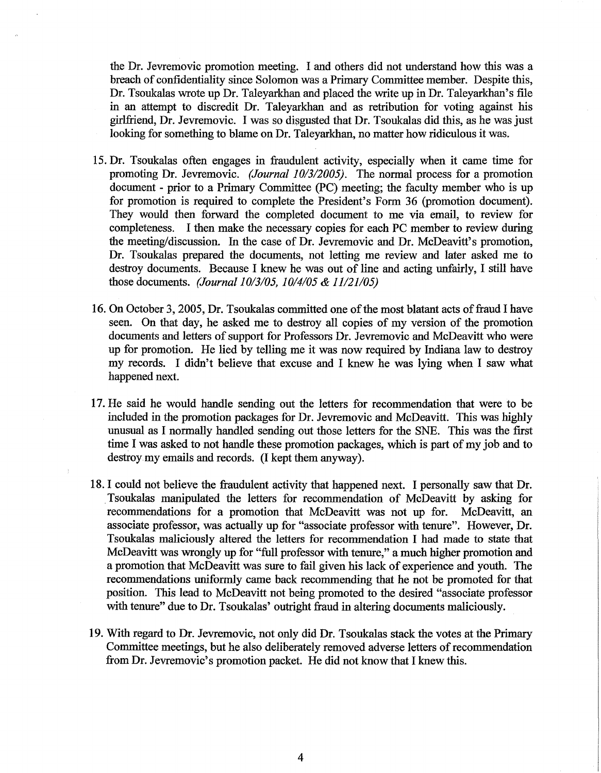the Dr. Jevremovic promotion meeting. 1 and others did not understand how this was a breach of confidentiality since Solomon was a Primary Committee member. Despite this, Dr. Tsoukalas wrote up Dr. Taleyarkhan and placed the write up in Dr. Taleyarkhan's file in an attempt to discredit Dr. Taleyarkhan and as retribution for voting against his girlfriend, Dr. Jevremovic. 1 was so disgusted that Dr. Tsoukalas did this, as he was just looking for something to blame on Dr. Taleyarkhan, no matter how ridiculous it was.

- 15. Dr. Tsoukalas often engages in fraudulent activity, especially when it came time for promoting Dr. Jevremovic. *(Journal 10/3/2005).* The normal process for a promotion document - prior to a Primary Committee (PC) meeting; the faculty member who is up for promotion is required to complete the President's Form 36 (promotion document). They would then forward the completed document to me via email, to review for completeness. 1 then make the necessary copies for each PC member to review during the meeting/discussion. In the case of Dr. Jevremovic and Dr. McDeavitt's promotion, Dr. Tsoukalas prepared the documents, not letting me review and later asked me to destroy documents. Because 1 knew he was out of line and acting unfairly, 1 still have those documents. *(Journal* 1*0/3/05, 10/4/05* & *11/21/05)*
- 16. On October 3, 2005, Dr. Tsoukalas committed one of the most blatant acts of fraud I have seen. On that day, he asked me to destroy all copies of my version of the promotion documents and letters of support for Professors Dr. Jevremovic and McDeavitt who were up for promotion. He lied by telling me it was now required by Indiana law to destroy my records. 1 didn't believe that excuse and 1 knew he was lying when 1 saw what happened next.
- 17. He said he would handle sending out the letters for recommendation that were to be included in the promotion packages for Dr. Jevremovic and McDeavitt. This was highly unusual as I normally handled sending out those letters for the SNE. This was the first time 1was asked to not handle these promotion packages, which is part of my job and to destroy my emails and records. (I kept them anyway).
- 18.1 could not believe the fraudulent activity that happened next. 1 personally saw that Dr. .Tsoukalas manipulated the letters for recommendation of McDeavitt by asking for recommendations for a promotion that McDeavitt was not up for. McDeavitt, an associate professor, was actually up for "associate professor with tenure". However, Dr. Tsoukalas maliciously altered the letters for recommendation 1 had made to state that McDeavitt was wrongly up for "full professor with tenure," a much higher promotion and a promotion that McDeavitt was sure to fail given his lack of experience and youth. The recommendations uniformly came back recommending that he not be promoted for that position. This lead to McDeavitt not being promoted to the desired "associate professor with tenure" due to Dr. Tsoukalas' outright fraud in altering documents maliciously.
- 19. With regard to Dr. Jevremovic, not only did Dr. Tsoukalas stack the votes at the Primary Committee meetings, but he also deliberately removed adverse letters of recommendation from Dr. Jevremovic's promotion packet. He did not know that 1knew this.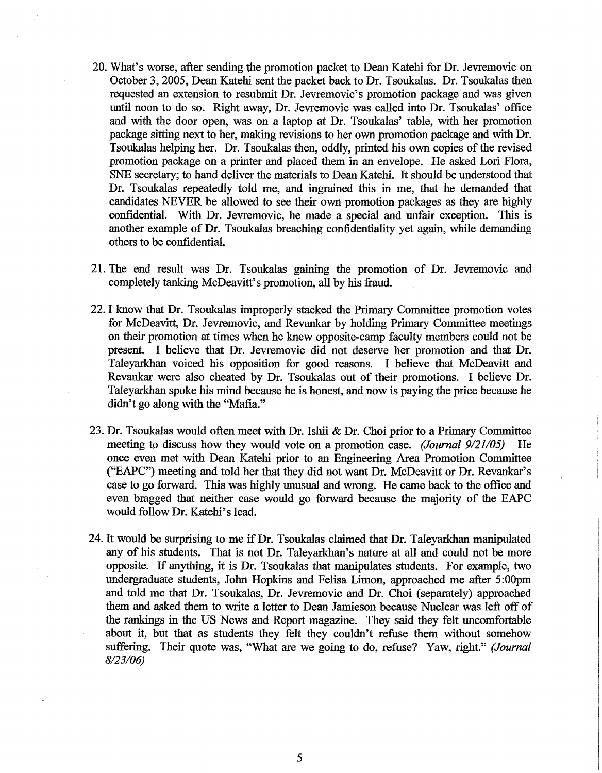- 20. What's worse, after sending the promotion packet to Dean Katehi for Dr. Jevremovic on October 3,2005, Dean Katehi sent the packet back to Dr. Tsoukalas. Dr. Tsoukalas then requested an extension to resubmit Dr. Jevremovic's promotion package and was given until noon to do so. Right away, Dr. Jevremovic was called into Dr. Tsoukalas' office and with the door open, was on a laptop at Dr. Tsoukalas' table, with her promotion package sitting next to her, making revisions to her own promotion package and with Dr. Tsoukalas helping her. Dr. Tsoukalas then, oddly, printed his own copies of the revised promotion package on a printer and placed them in an envelope. He asked Lori Flora, SNE secretary; to hand deliver the materials to Dean Katehi. It should be understood that Dr. Tsoukalas repeatedly told me, and ingrained this in me, that he demanded that candidates NEVER be allowed to see their own promotion packages as they are highly confidential. With Dr. Jevremovic, he made a special and unfair exception. This is another example of Dr. Tsoukalas breaching confidentiality yet again, while demanding others to be confidential.
- 21. The end result was Dr. Tsoukalas gaining the promotion of Dr. Jevremovic and completely tanking McDeavitt's promotion, all by his fraud.
- 22. I know that Dr. Tsoukalas improperly stacked the Primary Committee promotion votes for McDeavitt, Dr. Jevremovic, and Revankar by holding Primary Committee meetings on their promotion at times when he knew opposite-camp faculty members could not be present. I believe that Dr. Jevremovic did not deserve her promotion and that Dr. Taleyarkhan voiced his opposition for good reasons. I believe that McDeavitt and Revankar were also cheated by Dr. Tsoukalas out of their promotions. I believe Dr. Taleyarkhan spoke his mind because he is honest, and now is paying the price because he didn't go along with the "Mafia."
- 23. Dr. Tsoukalas would often meet with Dr. Ishii & Dr. Choi prior to a Primary Committee meeting to discuss how they would vote on a promotion case. *(Journal 9/21/05)* He once even met with Dean Katehi prior to an Engineering Area Promotion Committee ("EAPC") meeting and told her that they did not want Dr. McDeavitt or Dr. Revankar's case to go forward. This was highly unusual and wrong. He came back to the office and even bragged that neither case would go forward because the majority of the EAPC would follow Dr. Katehi's lead.
- 24. It would be surprising to me if Dr. Tsoukalas claimed that Dr. Taleyarkhan manipulated any of his students. That is not Dr. Taleyarkhan's nature at all and could not be more opposite. If anything, it is Dr. Tsoukalas that manipulates students. For example, two undergraduate students, John Hopkins and Felisa Limon, approached me after 5:00pm and told me that Dr. Tsoukalas, Dr. Jevremovic and Dr. Choi (separately) approached them and asked them to write a letter to Dean Jamieson because Nuclear was left off of the rankings in the US News and Report magazine. They said they felt uncomfortable about it, but that as students they felt they couldn't refuse them without somehow suffering. Their quote was, "What are we going to do, refuse? Yaw, right." *(Journal 8/23/06)*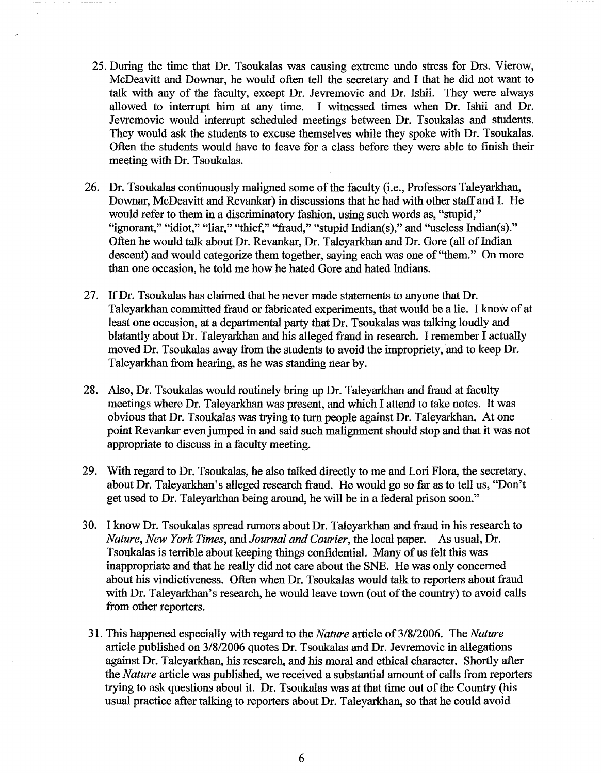- 25. During the time that Dr. Tsoukalas was causing extreme undo stress for Drs. Vierow, McDeavitt and Downar, he would often tell the secretary and I that he did not want to talk with any of the faculty, except Dr. Jevremovic and Dr. Ishii. They were always allowed to interrupt him at any time. I witnessed times when Dr. Ishii and Dr. Jevremovic would interrupt scheduled meetings between Dr. Tsoukalas and students. They would ask the students to excuse themselves while they spoke with Dr. Tsoukalas. Often the students would have to leave for a class before they were able to finish their meeting with Dr. Tsoukalas.
- 26. Dr. Tsoukalas continuously maligned some of the faculty (i.e., Professors Taleyarkhan, Downar, McDeavitt and Revankar) in discussions that he had with other staff and I. He would refer to them in a discriminatory fashion, using such words as, "stupid," "ignorant," "idiot," "liar," "thief," "fraud," "stupid Indian(s)," and "useless Indian(s)." Often he would talk about Dr. Revankar, Dr. Taleyarkhan and Dr. Gore (all of Indian descent) and would categorize them together, saying each was one of "them." On more than one occasion, he told me how he hated Gore and hated Indians.
- 27. IfDr. Tsoukalas has claimed that he never made statements to anyone that Dr. Taleyarkhan committed fraud or fabricated experiments, that would be a lie. I know of at least one occasion, at a departmental party that Dr. Tsoukalas was talking loudly and blatantly about Dr. Taleyarkhan and his alleged fraud in research. I remember I actually moved Dr. Tsoukalas away from the students to avoid the impropriety, and to keep Dr. Taleyarkhan from hearing, as he was standing near by.
- 28. Also, Dr. Tsoukalas would routinely bring up Dr. Taleyarkhan and fraud at faculty meetings where Dr. Taleyarkhan was present, and which I attend to take notes. It was obvious that Dr. Tsoukalas was trying to turn people against Dr. Taleyarkhan. At one point Revankar even jumped in and said such malignment should stop and that it was not appropriate to discuss in a faculty meeting.
- 29. With regard to Dr. Tsoukalas, he also talked directly to me and Lori Flora, the secretary, about Dr. Taleyarkhan's alleged research fraud. He would go so far as to tell us, "Don't get used to Dr. Taleyarkhan being around, he will be in a federal prison soon."
- 30. I know Dr. Tsoukalas spread rumors about Dr. Taleyarkhan and fraud in his research to *Nature, New York Times,* and *Journal and Courier,* the local paper. As usual, Dr. Tsoukalas is terrible about keeping things confidential. Many of us felt this was inappropriate and that he really did not care about the SNE. He was only concerned about his vindictiveness. Often when Dr. Tsoukalas would talk to reporters about fraud with Dr. Taleyarkhan's research, he would leave town (out of the country) to avoid calls from other reporters.
- 31. This happened especially with regard to the *Nature* article of 3/8/2006. The *Nature* article published on 3/8/2006 quotes Dr. Tsoukalas and Dr, Jevremovic in allegations against Dr. Taleyarkhan, his research, and his moral and ethical character. Shortly after the *Nature* article was published, we received a substantial amount of calls from reporters trying to ask questions about it. Dr. Tsoukalas was at that time out of the Country (his usual practice after talking to reporters about Dr. Taleyarkhan, so that he could avoid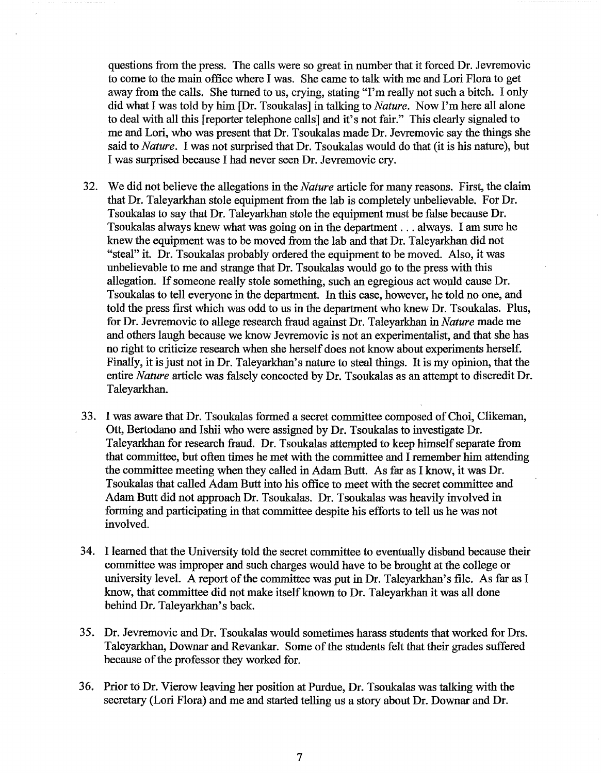questions from the press. The calls were so great in number that it forced Dr. Jevremovic to come to the main office where I was. She came to talk with me and Lori Flora to get away from the calls. She turned to us, crying, stating "I'm really not such a bitch. I only did what I was told by him [Dr. Tsoukalas] in talking to *Nature.* Now I'm here all alone to deal with all this [reporter telephone calls] and it's not fair." This clearly signaled to me and Lori, who was present that Dr. Tsoukalas made Dr. Jevremovic say the things she said to *Nature.* I was not surprised that Dr. Tsoukalas would do that (it is his nature), but I was surprised because I had never seen Dr. Jevremovic cry.

- 32. We did not believe the allegations in the *Nature* article for many reasons. First, the claim that Dr. Taleyarkhan stole equipment from the lab is completely unbelievable. For Dr. Tsoukalas to say that Dr. Taleyarkhan stole the equipment must be false because Dr. Tsoukalas always knew what was going on in the department ... always. I am sure he knew the equipment was to be moved from the lab and that Dr. Taleyarkhan did not "steal" it. Dr. Tsoukalas probably ordered the equipment to be moved. Also, it was unbelievable to me and strange that Dr. Tsoukalas would go to the press with this allegation. If someone really stole something, such an egregious act would cause Dr. Tsoukalas to tell everyone in the department. In this case, however, he told no one, and told the press first which was odd to us in the department who knew Dr. Tsoukalas. Plus, for Dr. Jevremovic to allege research fraud against Dr. Taleyarkhan in *Nature* made me and others laugh because we know Jevremovic is not an experimentalist, and that she has no right to criticize research when she herself does not know about experiments herself. Finally, it is just not in Dr. Taleyarkhan's nature to steal things. It is my opinion, that the entire *Nature* article was falsely concocted by Dr. Tsoukalas as an attempt to discredit Dr. Taleyarkhan.
- 33. I was aware that Dr. Tsoukalas formed a secret committee composed ofChoi, Clikeman, Ott, Bertodano and Ishii who were assigned by Dr. Tsoukalas to investigate Dr. Taleyarkhan for research fraud. Dr. Tsoukalas attempted to keep himself separate from that committee, but often times he met with the committee and I remember him attending the committee meeting when they called in Adam Butt. As far as I know, it was Dr. Tsoukalas that called Adam Butt into his office to meet with the secret committee and Adam Butt did not approach Dr. Tsoukalas. Dr. Tsoukalas was heavily involved in forming and participating in that committee despite his efforts to tell us he was not involved.
- 34. I learned that the University told the secret committee to eventually disband because their committee was improper and such charges would have to be brought at the college or university level. A report of the committee was put in Dr. Taleyarkhan's file. As far as I know, that committee did not make itself known to Dr. Taleyarkhan it was all done behind Dr. Taleyarkhan's back.
- 35. Dr. Jevremovic and Dr. Tsoukalas would sometimes harass students that worked for Drs. Taleyarkhan, Downar and Revankar. Some of the students felt that their grades suffered because of the professor they worked for.
- 36. Prior to Dr. Vierow leaving her position at Purdue, Dr. Tsoukalas was talking with the secretary (Lori Flora) and me and started telling us a story about Dr. Downar and Dr.